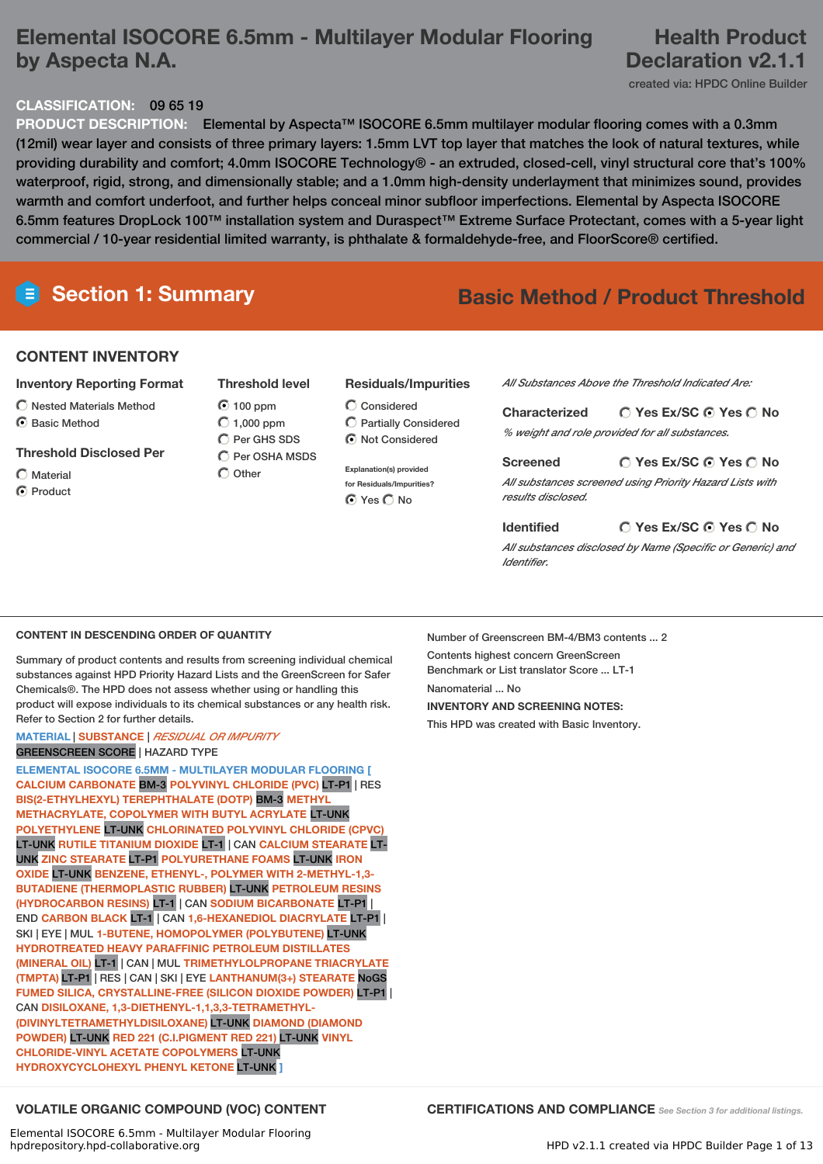# **Elemental ISOCORE 6.5mm - Multilayer Modular Flooring by Aspecta N.A.**

# **Health Product Declaration v2.1.1**

## created via: HPDC Online Builder

# **CLASSIFICATION:** 09 65 19

**PRODUCT DESCRIPTION:** Elemental by Aspecta™ ISOCORE 6.5mm multilayer modular flooring comes with a 0.3mm (12mil) wear layer and consists of three primary layers: 1.5mm LVT top layer that matches the look of natural textures, while providing durability and comfort; 4.0mm ISOCORE Technology® - an extruded, closed-cell, vinyl structural core that's 100% waterproof, rigid, strong, and dimensionally stable; and a 1.0mm high-density underlayment that minimizes sound, provides warmth and comfort underfoot, and further helps conceal minor subfloor imperfections. Elemental by Aspecta ISOCORE 6.5mm features DropLock 100™ installation system and Duraspect™ Extreme Surface Protectant, comes with a 5-year light commercial / 10-year residential limited warranty, is phthalate & formaldehyde-free, and FloorScore® certified.

# **Section 1: Summary Basic Method / Product Threshold**

## **CONTENT INVENTORY**

- **Inventory Reporting Format**
- Nested Materials Method
- ◯ Basic Method
- **Threshold Disclosed Per**
- $\bigcap$  Material C Product
- **Threshold level**
- $O$  100 ppm  $\bigcirc$  1,000 ppm  $\bigcap$  Per GHS SDS  $\bigcirc$  Per OSHA MSDS  $\bigcirc$  Other

## **Residuals/Impurities**

Considered Partially Considered  $\bigcirc$  Not Considered

**Explanation(s) provided for Residuals/Impurities?** ⊙ Yes O No

*All Substances Above the Threshold Indicated Are:*

| <b>Characterized</b> | $\bigcirc$ Yes Ex/SC $\bigcirc$ Yes $\bigcirc$ No |
|----------------------|---------------------------------------------------|
|                      | % weight and role provided for all substances.    |

**Yes Ex/SC Yes No Screened** *All substances screened using Priority Hazard Lists with results disclosed.*

### **Yes Ex/SC Yes No Identified**

*All substances disclosed by Name (Specific or Generic) and Identifier.*

## **CONTENT IN DESCENDING ORDER OF QUANTITY**

Summary of product contents and results from screening individual chemical substances against HPD Priority Hazard Lists and the GreenScreen for Safer Chemicals®. The HPD does not assess whether using or handling this product will expose individuals to its chemical substances or any health risk. Refer to Section 2 for further details.

## **MATERIAL** | **SUBSTANCE** | *RESIDUAL OR IMPURITY* GREENSCREEN SCORE | HAZARD TYPE

**ELEMENTAL ISOCORE 6.5MM - MULTILAYER MODULAR FLOORING [ CALCIUM CARBONATE** BM-3 **POLYVINYL CHLORIDE (PVC)** LT-P1 | RES **BIS(2-ETHYLHEXYL) TEREPHTHALATE (DOTP)** BM-3 **METHYL METHACRYLATE, COPOLYMER WITH BUTYL ACRYLATE** LT-UNK **POLYETHYLENE** LT-UNK **CHLORINATED POLYVINYL CHLORIDE (CPVC)** LT-UNK **RUTILE TITANIUM DIOXIDE** LT-1 | CAN **CALCIUM STEARATE** LT-UNK **ZINC STEARATE** LT-P1 **POLYURETHANE FOAMS** LT-UNK **IRON OXIDE** LT-UNK **BENZENE, ETHENYL-, POLYMER WITH 2-METHYL-1,3- BUTADIENE (THERMOPLASTIC RUBBER)** LT-UNK **PETROLEUM RESINS (HYDROCARBON RESINS)** LT-1 | CAN **SODIUM BICARBONATE** LT-P1 | END **CARBON BLACK** LT-1 | CAN **1,6-HEXANEDIOL DIACRYLATE** LT-P1 | SKI | EYE | MUL **1-BUTENE, HOMOPOLYMER (POLYBUTENE)** LT-UNK **HYDROTREATED HEAVY PARAFFINIC PETROLEUM DISTILLATES (MINERAL OIL)** LT-1 | CAN | MUL **TRIMETHYLOLPROPANE TRIACRYLATE (TMPTA)** LT-P1 | RES | CAN | SKI | EYE **LANTHANUM(3+) STEARATE** NoGS **FUMED SILICA, CRYSTALLINE-FREE (SILICON DIOXIDE POWDER)** LT-P1 | CAN **DISILOXANE, 1,3-DIETHENYL-1,1,3,3-TETRAMETHYL- (DIVINYLTETRAMETHYLDISILOXANE)** LT-UNK **DIAMOND (DIAMOND POWDER)** LT-UNK **RED 221 (C.I.PIGMENT RED 221)** LT-UNK **VINYL CHLORIDE-VINYL ACETATE COPOLYMERS** LT-UNK **HYDROXYCYCLOHEXYL PHENYL KETONE** LT-UNK **]**

Number of Greenscreen BM-4/BM3 contents ... 2 Contents highest concern GreenScreen Benchmark or List translator Score ... LT-1 Nanomaterial No. **INVENTORY AND SCREENING NOTES:** This HPD was created with Basic Inventory.

**VOLATILE ORGANIC COMPOUND (VOC) CONTENT CERTIFICATIONS AND COMPLIANCE** *See Section <sup>3</sup> for additional listings.*

Elemental ISOCORE 6.5mm - Multilayer Modular Flooring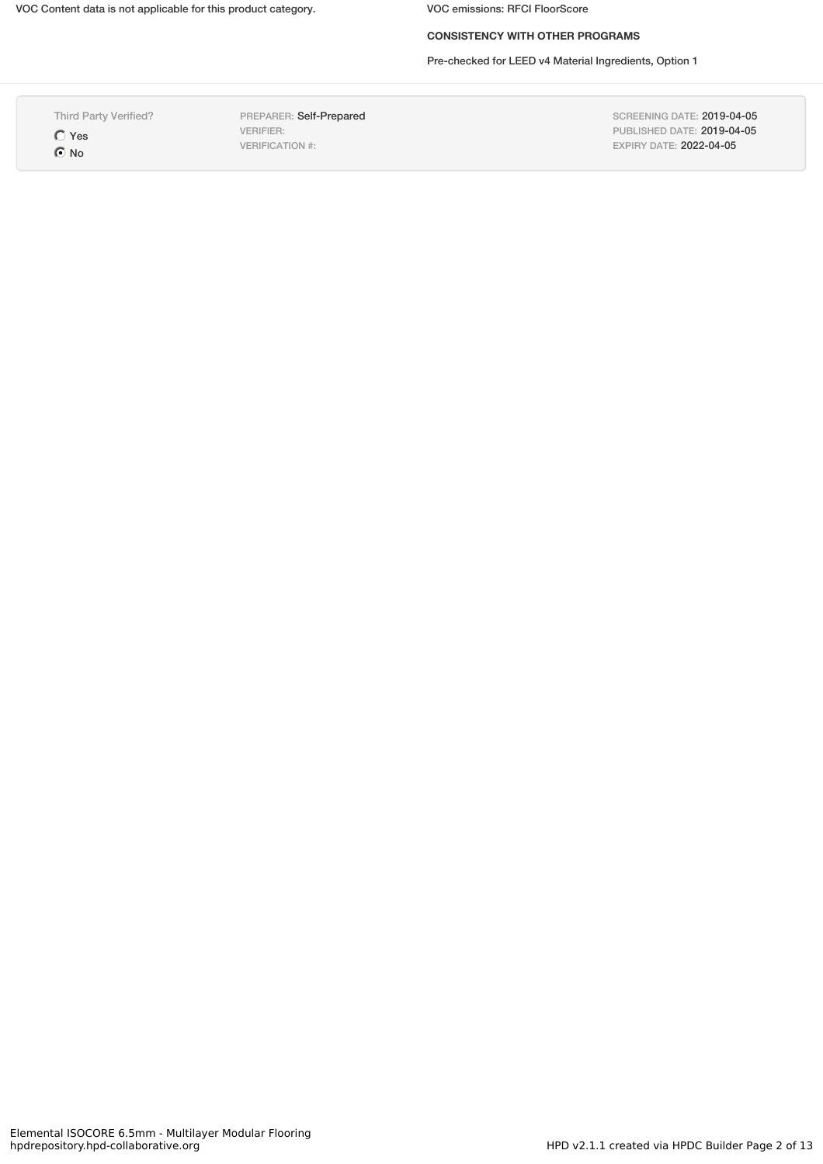## **CONSISTENCY WITH OTHER PROGRAMS**

Pre-checked for LEED v4 Material Ingredients, Option 1

Third Party Verified?

Yes  $\odot$  No

PREPARER: Self-Prepared VERIFIER: VERIFICATION #:

SCREENING DATE: 2019-04-05 PUBLISHED DATE: 2019-04-05 EXPIRY DATE: 2022-04-05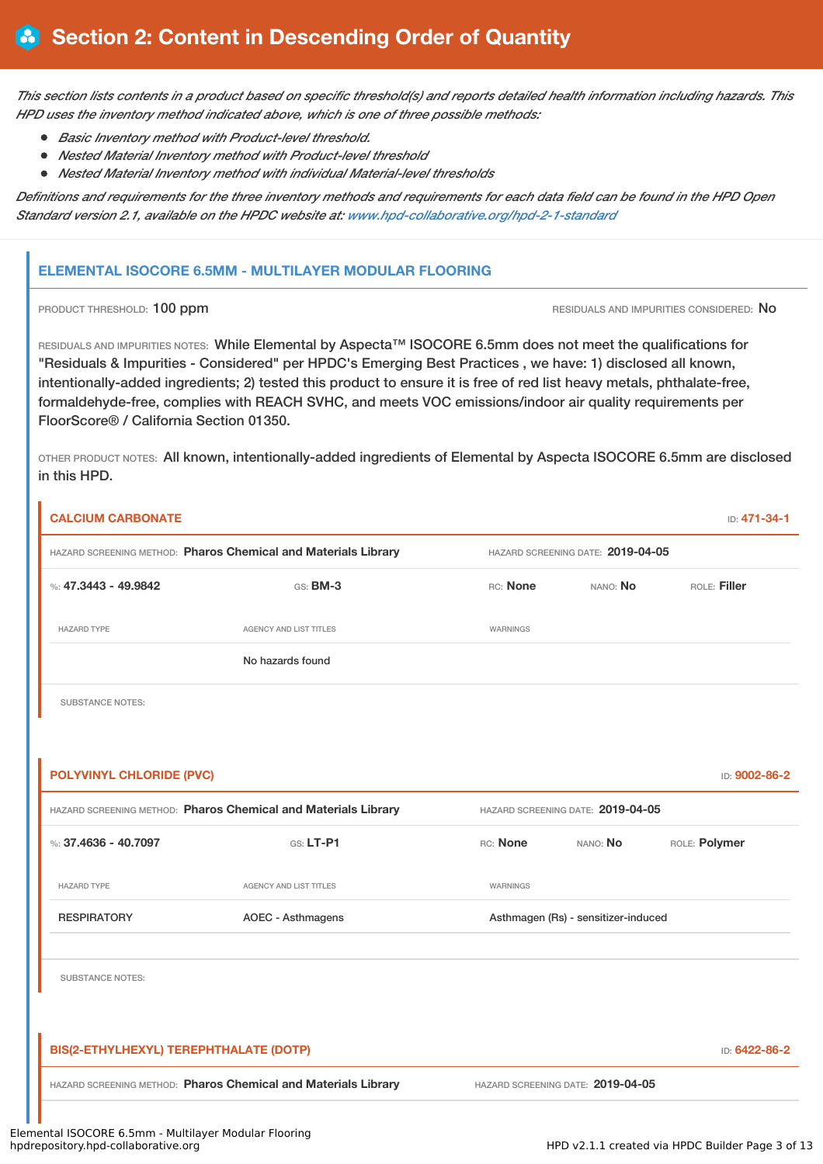This section lists contents in a product based on specific threshold(s) and reports detailed health information including hazards. This *HPD uses the inventory method indicated above, which is one of three possible methods:*

- *Basic Inventory method with Product-level threshold.*
- *Nested Material Inventory method with Product-level threshold*
- *Nested Material Inventory method with individual Material-level thresholds*

Definitions and requirements for the three inventory methods and requirements for each data field can be found in the HPD Open *Standard version 2.1, available on the HPDC website at: [www.hpd-collaborative.org/hpd-2-1-standard](http://www.hpd-collaborative.org/hpd-2-1-standard)*

## **ELEMENTAL ISOCORE 6.5MM - MULTILAYER MODULAR FLOORING**

PRODUCT THRESHOLD: 100 ppm **RESIDUALS AND IMPURITIES CONSIDERED:** No

RESIDUALS AND IMPURITIES NOTES: While Elemental by Aspecta™ ISOCORE 6.5mm does not meet the qualifications for "Residuals & Impurities - Considered" per HPDC's Emerging Best Practices , we have: 1) disclosed all known, intentionally-added ingredients; 2) tested this product to ensure it is free of red list heavy metals, phthalate-free, formaldehyde-free, complies with REACH SVHC, and meets VOC emissions/indoor air quality requirements per FloorScore® / California Section 01350.

OTHER PRODUCT NOTES: All known, intentionally-added ingredients of Elemental by Aspecta ISOCORE 6.5mm are disclosed in this HPD.

| <b>CALCIUM CARBONATE</b>               |                                                                |                 |                                     | ID: 471-34-1  |  |
|----------------------------------------|----------------------------------------------------------------|-----------------|-------------------------------------|---------------|--|
|                                        | HAZARD SCREENING METHOD: Pharos Chemical and Materials Library |                 | HAZARD SCREENING DATE: 2019-04-05   |               |  |
| %: 47.3443 - 49.9842                   | GS: BM-3                                                       | RC: None        | ROLE: Filler<br>NANO: No            |               |  |
| <b>HAZARD TYPE</b>                     | <b>AGENCY AND LIST TITLES</b>                                  | WARNINGS        |                                     |               |  |
|                                        | No hazards found                                               |                 |                                     |               |  |
| <b>SUBSTANCE NOTES:</b>                |                                                                |                 |                                     |               |  |
|                                        |                                                                |                 |                                     |               |  |
| <b>POLYVINYL CHLORIDE (PVC)</b>        |                                                                |                 |                                     | ID: 9002-86-2 |  |
|                                        | HAZARD SCREENING METHOD: Pharos Chemical and Materials Library |                 | HAZARD SCREENING DATE: 2019-04-05   |               |  |
| %: 37.4636 - 40.7097                   | GS: LT-P1                                                      | RC: None        | NANO: No                            | ROLE: Polymer |  |
| <b>HAZARD TYPE</b>                     | AGENCY AND LIST TITLES                                         | <b>WARNINGS</b> |                                     |               |  |
| <b>RESPIRATORY</b>                     | <b>AOEC - Asthmagens</b>                                       |                 | Asthmagen (Rs) - sensitizer-induced |               |  |
| <b>SUBSTANCE NOTES:</b>                |                                                                |                 |                                     |               |  |
| BIS(2-ETHYLHEXYL) TEREPHTHALATE (DOTP) |                                                                |                 |                                     | ID: 6422-86-2 |  |
|                                        | HAZARD SCREENING METHOD: Pharos Chemical and Materials Library |                 | HAZARD SCREENING DATE: 2019-04-05   |               |  |
|                                        |                                                                |                 |                                     |               |  |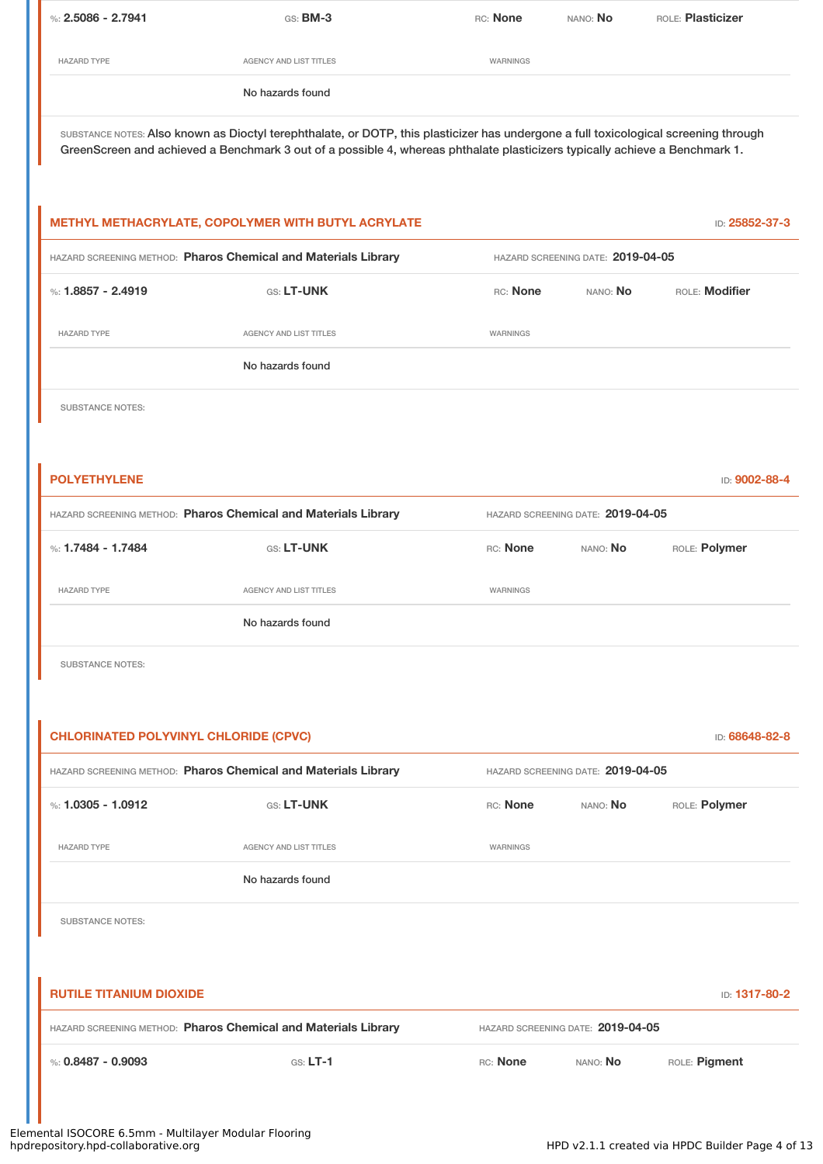| %: $2.5086 - 2.7941$ | GS: BM-3                                                                                                                                                                                                                                                            | RC: None | NANO: No                          | <b>BOLE: Plasticizer</b> |
|----------------------|---------------------------------------------------------------------------------------------------------------------------------------------------------------------------------------------------------------------------------------------------------------------|----------|-----------------------------------|--------------------------|
| <b>HAZARD TYPE</b>   | <b>AGENCY AND LIST TITLES</b>                                                                                                                                                                                                                                       | WARNINGS |                                   |                          |
|                      | No hazards found                                                                                                                                                                                                                                                    |          |                                   |                          |
|                      | SUBSTANCE NOTES: Also known as Dioctyl terephthalate, or DOTP, this plasticizer has undergone a full toxicological screening through<br>GreenScreen and achieved a Benchmark 3 out of a possible 4, whereas phthalate plasticizers typically achieve a Benchmark 1. |          |                                   |                          |
|                      |                                                                                                                                                                                                                                                                     |          |                                   |                          |
|                      |                                                                                                                                                                                                                                                                     |          |                                   |                          |
|                      |                                                                                                                                                                                                                                                                     |          |                                   |                          |
|                      | METHYL METHACRYLATE, COPOLYMER WITH BUTYL ACRYLATE                                                                                                                                                                                                                  |          |                                   | ID: 25852-37-3           |
|                      | HAZARD SCREENING METHOD: Pharos Chemical and Materials Library                                                                                                                                                                                                      |          | HAZARD SCREENING DATE: 2019-04-05 |                          |
| %: $1.8857 - 2.4919$ | GS: LT-UNK                                                                                                                                                                                                                                                          | RC: None | NANO: <b>No</b>                   | ROLE: Modifier           |
| <b>HAZARD TYPE</b>   | <b>AGENCY AND LIST TITLES</b>                                                                                                                                                                                                                                       | WARNINGS |                                   |                          |
|                      | No hazards found                                                                                                                                                                                                                                                    |          |                                   |                          |

SUBSTANCE NOTES:

| <b>POLYETHYLENE</b>                                            |                               |                                   |          | ID: 9002-88-4 |
|----------------------------------------------------------------|-------------------------------|-----------------------------------|----------|---------------|
| HAZARD SCREENING METHOD: Pharos Chemical and Materials Library |                               | HAZARD SCREENING DATE: 2019-04-05 |          |               |
| %: 1.7484 - 1.7484                                             | GS: LT-UNK                    | RC: None                          | NANO: No | ROLE: Polymer |
| <b>HAZARD TYPE</b>                                             | <b>AGENCY AND LIST TITLES</b> | WARNINGS                          |          |               |
|                                                                | No hazards found              |                                   |          |               |
|                                                                |                               |                                   |          |               |

SUBSTANCE NOTES:

| <b>CHLORINATED POLYVINYL CHLORIDE (CPVC)</b><br>ID: 68648-82-8 |                                                                |          |                                   |               |
|----------------------------------------------------------------|----------------------------------------------------------------|----------|-----------------------------------|---------------|
|                                                                | HAZARD SCREENING METHOD: Pharos Chemical and Materials Library |          | HAZARD SCREENING DATE: 2019-04-05 |               |
| %: $1.0305 - 1.0912$                                           | GS: LT-UNK                                                     | RC: None | NANO: <b>No</b>                   | ROLE: Polymer |
| <b>HAZARD TYPE</b>                                             | <b>AGENCY AND LIST TITLES</b>                                  | WARNINGS |                                   |               |
|                                                                | No hazards found                                               |          |                                   |               |
| <b>SUBSTANCE NOTES:</b>                                        |                                                                |          |                                   |               |
|                                                                |                                                                |          |                                   |               |
| <b>RUTILE TITANIUM DIOXIDE</b>                                 |                                                                |          |                                   | ID: 1317-80-2 |
|                                                                | HAZARD SCREENING METHOD: Pharos Chemical and Materials Library |          | HAZARD SCREENING DATE: 2019-04-05 |               |
| %: $0.8487 - 0.9093$                                           | $GS: LT-1$                                                     | RC: None | NANO: No                          | ROLE: Pigment |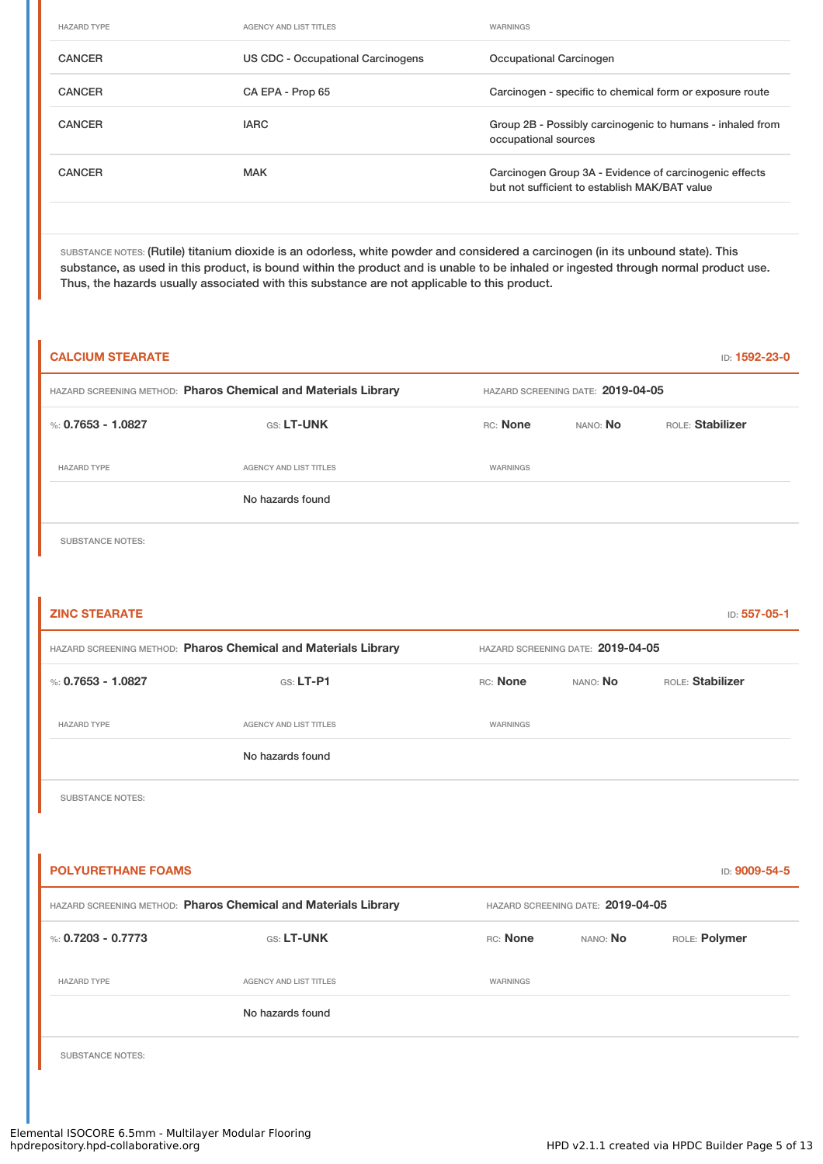| <b>HAZARD TYPE</b> | <b>AGENCY AND LIST TITLES</b>            | WARNINGS                                                                                                |
|--------------------|------------------------------------------|---------------------------------------------------------------------------------------------------------|
| <b>CANCER</b>      | <b>US CDC - Occupational Carcinogens</b> | Occupational Carcinogen                                                                                 |
| <b>CANCER</b>      | CA EPA - Prop 65                         | Carcinogen - specific to chemical form or exposure route                                                |
| <b>CANCER</b>      | <b>IARC</b>                              | Group 2B - Possibly carcinogenic to humans - inhaled from<br>occupational sources                       |
| <b>CANCER</b>      | <b>MAK</b>                               | Carcinogen Group 3A - Evidence of carcinogenic effects<br>but not sufficient to establish MAK/BAT value |
|                    |                                          |                                                                                                         |

SUBSTANCE NOTES: (Rutile) titanium dioxide is an odorless, white powder and considered a carcinogen (in its unbound state). This substance, as used in this product, is bound within the product and is unable to be inhaled or ingested through normal product use. Thus, the hazards usually associated with this substance are not applicable to this product.

| <b>CALCIUM STEARATE</b>   |                                                                |          |                                   | ID: 1592-23-0    |
|---------------------------|----------------------------------------------------------------|----------|-----------------------------------|------------------|
|                           | HAZARD SCREENING METHOD: Pharos Chemical and Materials Library |          | HAZARD SCREENING DATE: 2019-04-05 |                  |
| %: 0.7653 - 1.0827        | GS: LT-UNK                                                     | RC: None | NANO: No                          | ROLE: Stabilizer |
| <b>HAZARD TYPE</b>        | AGENCY AND LIST TITLES                                         | WARNINGS |                                   |                  |
|                           | No hazards found                                               |          |                                   |                  |
| <b>SUBSTANCE NOTES:</b>   |                                                                |          |                                   |                  |
|                           |                                                                |          |                                   |                  |
| <b>ZINC STEARATE</b>      |                                                                |          |                                   | ID: 557-05-1     |
|                           | HAZARD SCREENING METHOD: Pharos Chemical and Materials Library |          | HAZARD SCREENING DATE: 2019-04-05 |                  |
| %: 0.7653 - 1.0827        | GS: LT-P1                                                      | RC: None | NANO: No                          | ROLE: Stabilizer |
| <b>HAZARD TYPE</b>        | <b>AGENCY AND LIST TITLES</b>                                  | WARNINGS |                                   |                  |
|                           | No hazards found                                               |          |                                   |                  |
| <b>SUBSTANCE NOTES:</b>   |                                                                |          |                                   |                  |
|                           |                                                                |          |                                   |                  |
| <b>POLYURETHANE FOAMS</b> |                                                                |          |                                   | ID: 9009-54-5    |
|                           | HAZARD SCREENING METHOD: Pharos Chemical and Materials Library |          | HAZARD SCREENING DATE: 2019-04-05 |                  |
| %: $0.7203 - 0.7773$      | <b>GS: LT-UNK</b>                                              | RC: None | NANO: No                          | ROLE: Polymer    |
| <b>HAZARD TYPE</b>        | <b>AGENCY AND LIST TITLES</b>                                  | WARNINGS |                                   |                  |
|                           | No hazards found                                               |          |                                   |                  |
| <b>SUBSTANCE NOTES:</b>   |                                                                |          |                                   |                  |
|                           |                                                                |          |                                   |                  |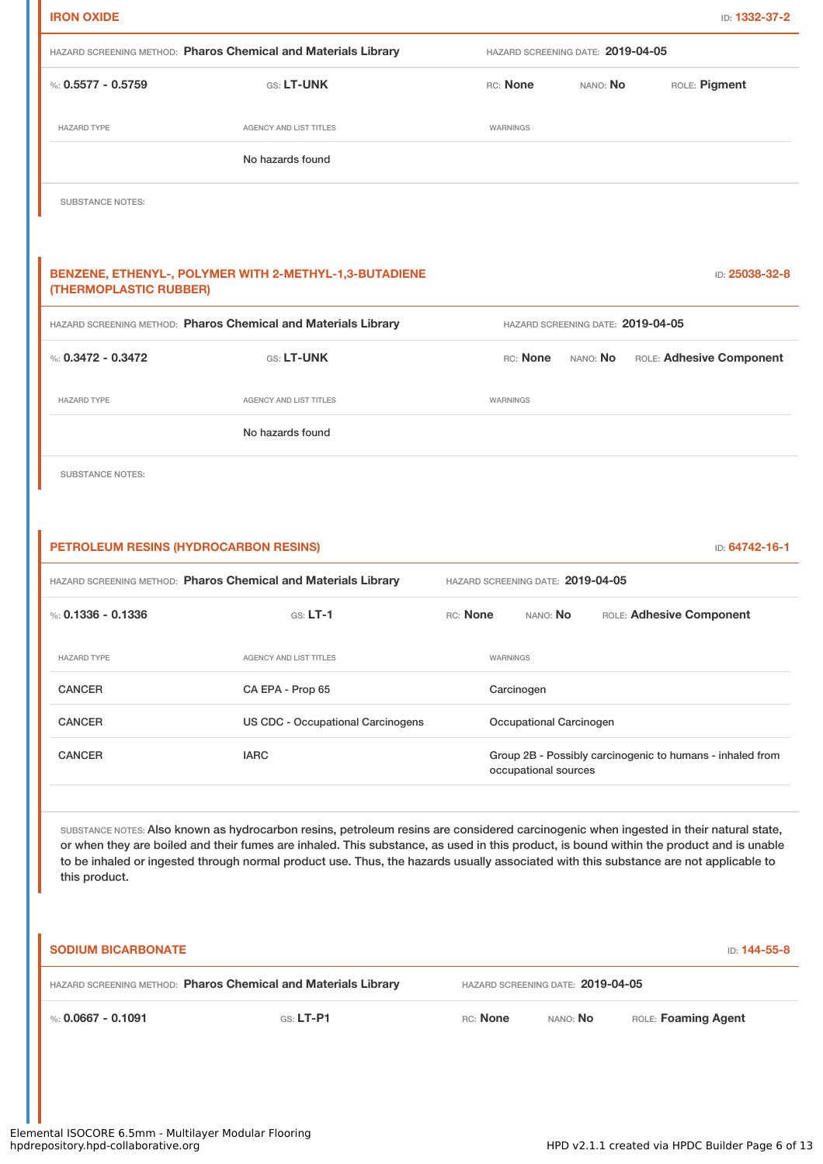| <b>IRON OXIDE</b>                     |                                                                                                                                                                                                                                                                                                                                                                                                                          |                                   |                                   |          | ID: 1332-37-2                                             |
|---------------------------------------|--------------------------------------------------------------------------------------------------------------------------------------------------------------------------------------------------------------------------------------------------------------------------------------------------------------------------------------------------------------------------------------------------------------------------|-----------------------------------|-----------------------------------|----------|-----------------------------------------------------------|
|                                       | HAZARD SCREENING METHOD: Pharos Chemical and Materials Library                                                                                                                                                                                                                                                                                                                                                           | HAZARD SCREENING DATE: 2019-04-05 |                                   |          |                                                           |
| %: $0.5577 - 0.5759$                  | GS: LT-UNK                                                                                                                                                                                                                                                                                                                                                                                                               | RC: None                          |                                   | NANO: No | ROLE: Pigment                                             |
| <b>HAZARD TYPE</b>                    | AGENCY AND LIST TITLES                                                                                                                                                                                                                                                                                                                                                                                                   | WARNINGS                          |                                   |          |                                                           |
|                                       | No hazards found                                                                                                                                                                                                                                                                                                                                                                                                         |                                   |                                   |          |                                                           |
| <b>SUBSTANCE NOTES:</b>               |                                                                                                                                                                                                                                                                                                                                                                                                                          |                                   |                                   |          |                                                           |
| (THERMOPLASTIC RUBBER)                | BENZENE, ETHENYL-, POLYMER WITH 2-METHYL-1,3-BUTADIENE                                                                                                                                                                                                                                                                                                                                                                   |                                   |                                   |          | ID: 25038-32-8                                            |
|                                       | HAZARD SCREENING METHOD: Pharos Chemical and Materials Library                                                                                                                                                                                                                                                                                                                                                           |                                   | HAZARD SCREENING DATE: 2019-04-05 |          |                                                           |
| %: $0.3472 - 0.3472$                  | GS: LT-UNK                                                                                                                                                                                                                                                                                                                                                                                                               | RC: None<br>NANO: No              |                                   |          | ROLE: Adhesive Component                                  |
| <b>HAZARD TYPE</b>                    | <b>AGENCY AND LIST TITLES</b>                                                                                                                                                                                                                                                                                                                                                                                            | WARNINGS                          |                                   |          |                                                           |
|                                       | No hazards found                                                                                                                                                                                                                                                                                                                                                                                                         |                                   |                                   |          |                                                           |
| <b>SUBSTANCE NOTES:</b>               |                                                                                                                                                                                                                                                                                                                                                                                                                          |                                   |                                   |          |                                                           |
|                                       |                                                                                                                                                                                                                                                                                                                                                                                                                          |                                   |                                   |          |                                                           |
| PETROLEUM RESINS (HYDROCARBON RESINS) |                                                                                                                                                                                                                                                                                                                                                                                                                          |                                   |                                   |          | ID: 64742-16-1                                            |
|                                       | HAZARD SCREENING METHOD: Pharos Chemical and Materials Library                                                                                                                                                                                                                                                                                                                                                           | HAZARD SCREENING DATE: 2019-04-05 |                                   |          |                                                           |
| %: $0.1336 - 0.1336$                  | $GS: LT-1$                                                                                                                                                                                                                                                                                                                                                                                                               | RC: None                          | NANO: No                          |          | ROLE: Adhesive Component                                  |
| <b>HAZARD TYPE</b>                    | AGENCY AND LIST TITLES                                                                                                                                                                                                                                                                                                                                                                                                   | WARNINGS                          |                                   |          |                                                           |
| <b>CANCER</b>                         | CA EPA - Prop 65                                                                                                                                                                                                                                                                                                                                                                                                         |                                   | Carcinogen                        |          |                                                           |
| <b>CANCER</b>                         | US CDC - Occupational Carcinogens                                                                                                                                                                                                                                                                                                                                                                                        |                                   | Occupational Carcinogen           |          |                                                           |
| <b>CANCER</b>                         | <b>IARC</b>                                                                                                                                                                                                                                                                                                                                                                                                              |                                   | occupational sources              |          | Group 2B - Possibly carcinogenic to humans - inhaled from |
| this product.                         | SUBSTANCE NOTES: Also known as hydrocarbon resins, petroleum resins are considered carcinogenic when ingested in their natural state,<br>or when they are boiled and their fumes are inhaled. This substance, as used in this product, is bound within the product and is unable<br>to be inhaled or ingested through normal product use. Thus, the hazards usually associated with this substance are not applicable to |                                   |                                   |          |                                                           |

| <b>SODIUM BICARBONATE</b>                                      |                                   |          |                 | ID: 144-55-8        |
|----------------------------------------------------------------|-----------------------------------|----------|-----------------|---------------------|
| HAZARD SCREENING METHOD: Pharos Chemical and Materials Library | HAZARD SCREENING DATE: 2019-04-05 |          |                 |                     |
| %: 0.0667 - 0.1091                                             | $GS: LT-PI$                       | RC: None | nano: <b>No</b> | ROLE: Foaming Agent |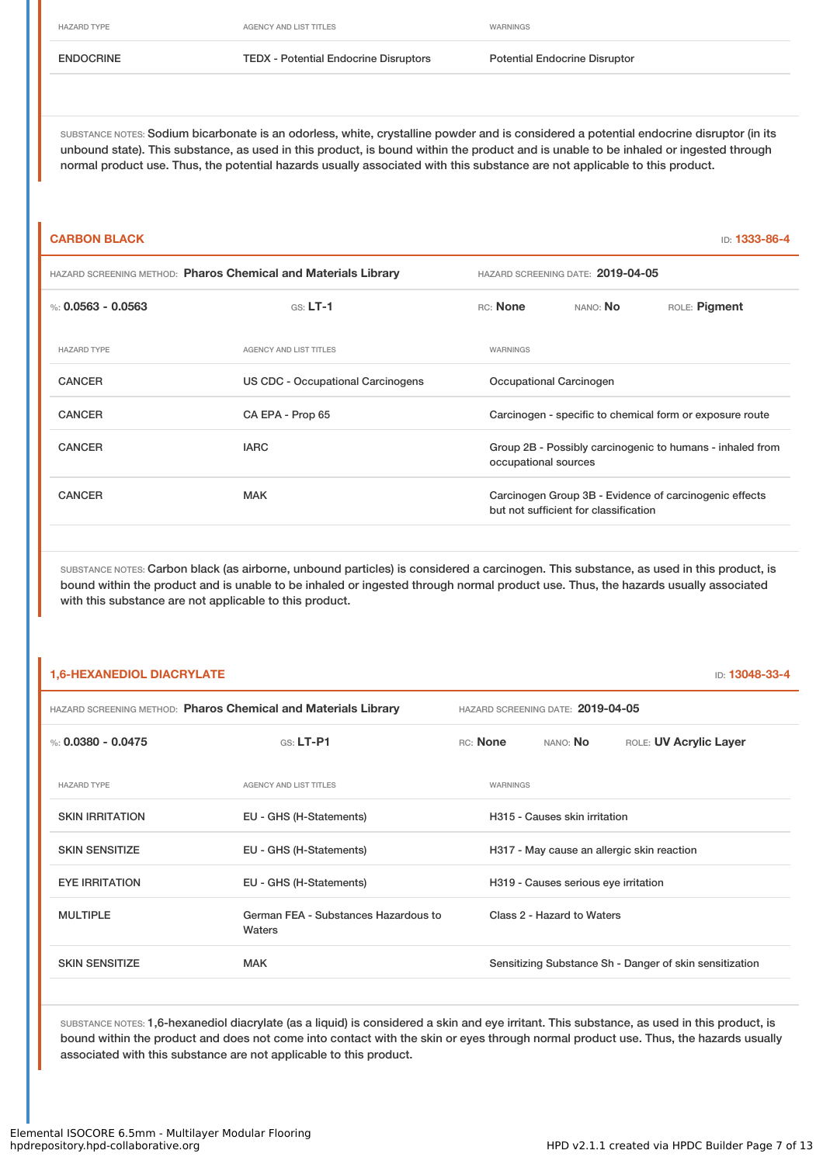### ENDOCRINE TEDX - Potential Endocrine Disruptors Potential Endocrine Disruptor

SUBSTANCE NOTES: Sodium bicarbonate is an odorless, white, crystalline powder and is considered a potential endocrine disruptor (in its unbound state). This substance, as used in this product, is bound within the product and is unable to be inhaled or ingested through normal product use. Thus, the potential hazards usually associated with this substance are not applicable to this product.

### **CARBON BLACK** ID: **1333-86-4**

| <b>HAZARD SCREENING METHOD: Pharos Chemical and Materials Library</b> |                                   |                      | HAZARD SCREENING DATE: 2019-04-05     |                                                           |
|-----------------------------------------------------------------------|-----------------------------------|----------------------|---------------------------------------|-----------------------------------------------------------|
| %: 0.0563 - 0.0563                                                    | $GS: LT-1$                        | RC: None             | NANO: <b>No</b>                       | ROLE: Pigment                                             |
| <b>HAZARD TYPE</b>                                                    | <b>AGENCY AND LIST TITLES</b>     | <b>WARNINGS</b>      |                                       |                                                           |
| <b>CANCER</b>                                                         | US CDC - Occupational Carcinogens |                      | Occupational Carcinogen               |                                                           |
| <b>CANCER</b>                                                         | CA EPA - Prop 65                  |                      |                                       | Carcinogen - specific to chemical form or exposure route  |
| <b>CANCER</b>                                                         | <b>IARC</b>                       | occupational sources |                                       | Group 2B - Possibly carcinogenic to humans - inhaled from |
| <b>CANCER</b>                                                         | <b>MAK</b>                        |                      | but not sufficient for classification | Carcinogen Group 3B - Evidence of carcinogenic effects    |
|                                                                       |                                   |                      |                                       |                                                           |

SUBSTANCE NOTES: Carbon black (as airborne, unbound particles) is considered a carcinogen. This substance, as used in this product, is bound within the product and is unable to be inhaled or ingested through normal product use. Thus, the hazards usually associated with this substance are not applicable to this product.

# **1,6-HEXANEDIOL DIACRYLATE** ID: **13048-33-4** HAZARD SCREENING METHOD: **Pharos Chemical and Materials Library** HAZARD SCREENING DATE: **2019-04-05** %: **0.0380 - 0.0475** GS: LT-P1 RC: None NANO: No ROLE: UV Acrylic Layer HAZARD TYPE **AGENCY AND LIST TITLES AGENCY AND LIST TITLES** SKIN IRRITATION **EU - GHS (H-Statements)** H315 - Causes skin irritation SKIN SENSITIZE **EU - GHS (H-Statements)** H317 - May cause an allergic skin reaction EYE IRRITATION EU - GHS (H-Statements) H319 - Causes serious eye irritation MULTIPLE German FEA - Substances Hazardous to Waters Class 2 - Hazard to Waters SKIN SENSITIZE **SENSITIZE** MAK MAK Sensitizing Substance Sh - Danger of skin sensitization

SUBSTANCE NOTES: 1,6-hexanediol diacrylate (as a liquid) is considered a skin and eye irritant. This substance, as used in this product, is bound within the product and does not come into contact with the skin or eyes through normal product use. Thus, the hazards usually associated with this substance are not applicable to this product.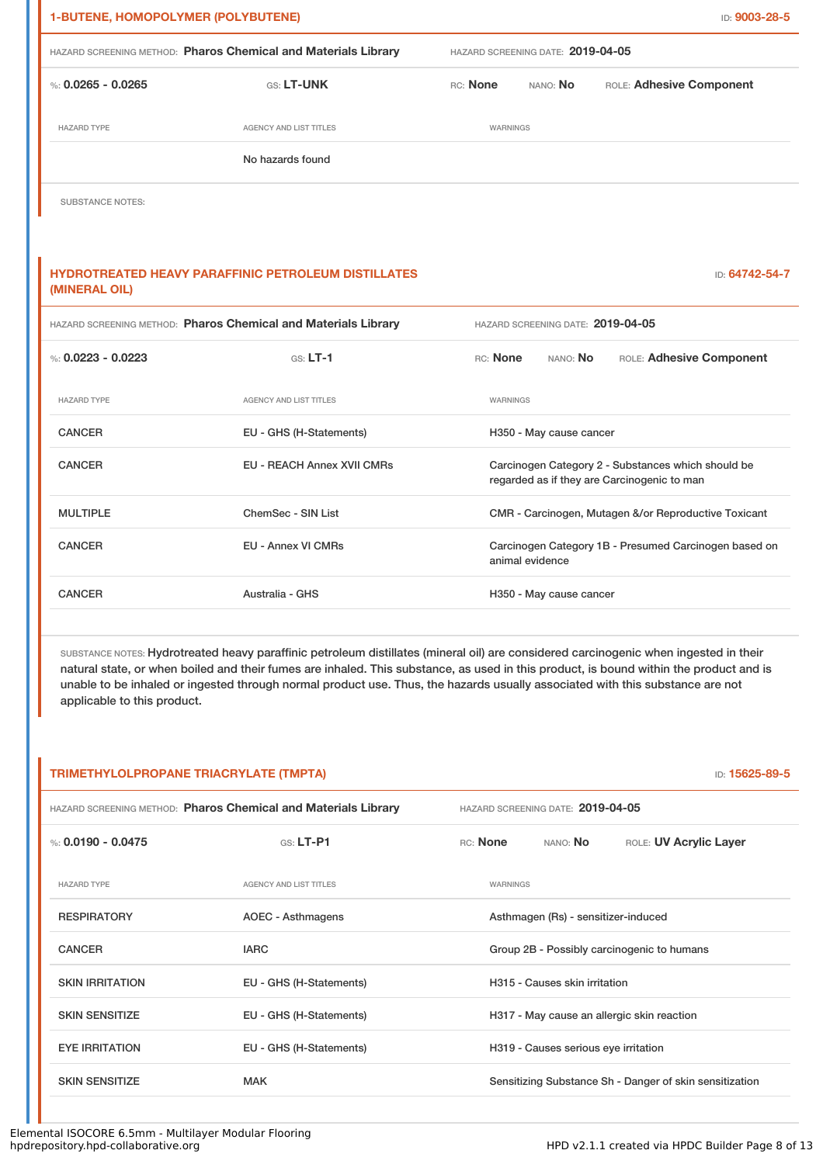| <b>1-BUTENE, HOMOPOLYMER (POLYBUTENE)</b> |                                                                |                                   |                                   | ID: 9003-28-5                                                                                     |
|-------------------------------------------|----------------------------------------------------------------|-----------------------------------|-----------------------------------|---------------------------------------------------------------------------------------------------|
|                                           | HAZARD SCREENING METHOD: Pharos Chemical and Materials Library | HAZARD SCREENING DATE: 2019-04-05 |                                   |                                                                                                   |
| %: $0.0265 - 0.0265$                      | GS: LT-UNK                                                     | RC: None                          | NANO: No                          | ROLE: Adhesive Component                                                                          |
| <b>HAZARD TYPE</b>                        | <b>AGENCY AND LIST TITLES</b>                                  | WARNINGS                          |                                   |                                                                                                   |
|                                           | No hazards found                                               |                                   |                                   |                                                                                                   |
| <b>SUBSTANCE NOTES:</b>                   |                                                                |                                   |                                   |                                                                                                   |
|                                           |                                                                |                                   |                                   |                                                                                                   |
| (MINERAL OIL)                             | <b>HYDROTREATED HEAVY PARAFFINIC PETROLEUM DISTILLATES</b>     |                                   |                                   | ID: 64742-54-7                                                                                    |
|                                           | HAZARD SCREENING METHOD: Pharos Chemical and Materials Library |                                   | HAZARD SCREENING DATE: 2019-04-05 |                                                                                                   |
| %: $0.0223 - 0.0223$                      | $GS: LT-1$                                                     | RC: None                          | NANO: No                          | ROLE: Adhesive Component                                                                          |
| <b>HAZARD TYPE</b>                        | <b>AGENCY AND LIST TITLES</b>                                  | WARNINGS                          |                                   |                                                                                                   |
| <b>CANCER</b>                             | EU - GHS (H-Statements)                                        |                                   | H350 - May cause cancer           |                                                                                                   |
| <b>CANCER</b>                             | <b>EU - REACH Annex XVII CMRs</b>                              |                                   |                                   | Carcinogen Category 2 - Substances which should be<br>regarded as if they are Carcinogenic to man |
| <b>MULTIPLE</b>                           | ChemSec - SIN List                                             |                                   |                                   | CMR - Carcinogen, Mutagen &/or Reproductive Toxicant                                              |
| <b>CANCER</b>                             | <b>EU - Annex VI CMRs</b>                                      |                                   | animal evidence                   | Carcinogen Category 1B - Presumed Carcinogen based on                                             |
| <b>CANCER</b>                             | Australia - GHS                                                |                                   | H350 - May cause cancer           |                                                                                                   |

SUBSTANCE NOTES: Hydrotreated heavy paraffinic petroleum distillates (mineral oil) are considered carcinogenic when ingested in their natural state, or when boiled and their fumes are inhaled. This substance, as used in this product, is bound within the product and is unable to be inhaled or ingested through normal product use. Thus, the hazards usually associated with this substance are not applicable to this product.

| TRIMETHYLOLPROPANE TRIACRYLATE (TMPTA)<br>ID: 15625-89-5 |                                                                |                                            |                                      |                                                         |
|----------------------------------------------------------|----------------------------------------------------------------|--------------------------------------------|--------------------------------------|---------------------------------------------------------|
|                                                          | HAZARD SCREENING METHOD: Pharos Chemical and Materials Library |                                            | HAZARD SCREENING DATE: 2019-04-05    |                                                         |
| %: $0.0190 - 0.0475$                                     | $GS: LT-P1$                                                    | RC: None                                   | NANO: <b>No</b>                      | ROLE: UV Acrylic Layer                                  |
| <b>HAZARD TYPE</b>                                       | <b>AGENCY AND LIST TITLES</b>                                  | WARNINGS                                   |                                      |                                                         |
| <b>RESPIRATORY</b>                                       | AOEC - Asthmagens                                              |                                            | Asthmagen (Rs) - sensitizer-induced  |                                                         |
| <b>CANCER</b>                                            | <b>IARC</b>                                                    | Group 2B - Possibly carcinogenic to humans |                                      |                                                         |
| <b>SKIN IRRITATION</b>                                   | EU - GHS (H-Statements)                                        |                                            | H315 - Causes skin irritation        |                                                         |
| <b>SKIN SENSITIZE</b>                                    | EU - GHS (H-Statements)                                        |                                            |                                      | H317 - May cause an allergic skin reaction              |
| <b>EYE IRRITATION</b>                                    | EU - GHS (H-Statements)                                        |                                            | H319 - Causes serious eye irritation |                                                         |
| <b>SKIN SENSITIZE</b>                                    | <b>MAK</b>                                                     |                                            |                                      | Sensitizing Substance Sh - Danger of skin sensitization |
|                                                          |                                                                |                                            |                                      |                                                         |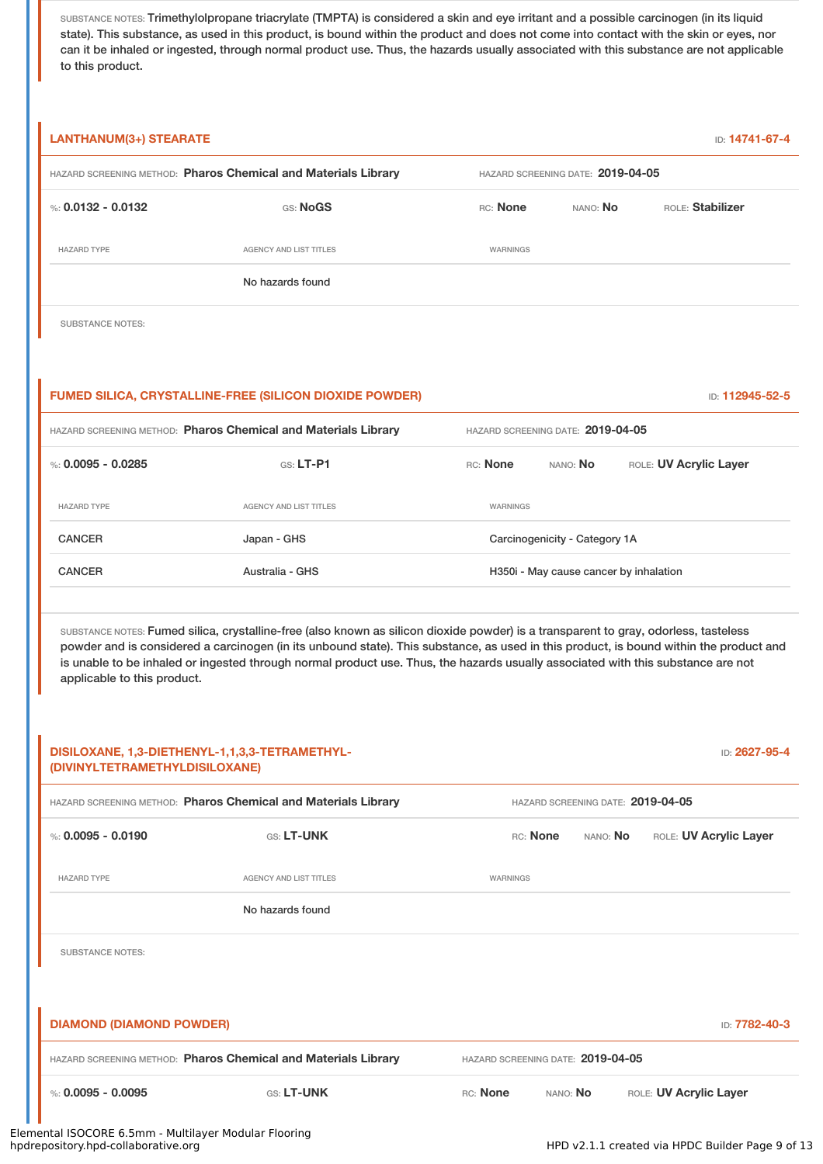SUBSTANCE NOTES: Trimethylolpropane triacrylate (TMPTA) is considered a skin and eye irritant and a possible carcinogen (in its liquid state). This substance, as used in this product, is bound within the product and does not come into contact with the skin or eyes, nor can it be inhaled or ingested, through normal product use. Thus, the hazards usually associated with this substance are not applicable to this product.

| <b>LANTHANUM(3+) STEARATE</b>                                                 |                                                                                                                                                                                                                                                                                                                                                                                                                    |                                        |                 | ID: 14741-67-4                    |  |
|-------------------------------------------------------------------------------|--------------------------------------------------------------------------------------------------------------------------------------------------------------------------------------------------------------------------------------------------------------------------------------------------------------------------------------------------------------------------------------------------------------------|----------------------------------------|-----------------|-----------------------------------|--|
| HAZARD SCREENING METHOD: Pharos Chemical and Materials Library                |                                                                                                                                                                                                                                                                                                                                                                                                                    | HAZARD SCREENING DATE: 2019-04-05      |                 |                                   |  |
| %: $0.0132 - 0.0132$                                                          | GS: NoGS                                                                                                                                                                                                                                                                                                                                                                                                           | RC: None                               | NANO: No        | ROLE: Stabilizer                  |  |
| <b>HAZARD TYPE</b>                                                            | <b>AGENCY AND LIST TITLES</b>                                                                                                                                                                                                                                                                                                                                                                                      | <b>WARNINGS</b>                        |                 |                                   |  |
|                                                                               | No hazards found                                                                                                                                                                                                                                                                                                                                                                                                   |                                        |                 |                                   |  |
| <b>SUBSTANCE NOTES:</b>                                                       |                                                                                                                                                                                                                                                                                                                                                                                                                    |                                        |                 |                                   |  |
|                                                                               | <b>FUMED SILICA, CRYSTALLINE-FREE (SILICON DIOXIDE POWDER)</b>                                                                                                                                                                                                                                                                                                                                                     |                                        |                 | ID: 112945-52-5                   |  |
| HAZARD SCREENING METHOD: Pharos Chemical and Materials Library                |                                                                                                                                                                                                                                                                                                                                                                                                                    | HAZARD SCREENING DATE: 2019-04-05      |                 |                                   |  |
| %: $0.0095 - 0.0285$                                                          | GS: LT-P1                                                                                                                                                                                                                                                                                                                                                                                                          | RC: None                               | NANO: No        | ROLE: UV Acrylic Layer            |  |
| <b>HAZARD TYPE</b>                                                            | <b>AGENCY AND LIST TITLES</b>                                                                                                                                                                                                                                                                                                                                                                                      | WARNINGS                               |                 |                                   |  |
| <b>CANCER</b>                                                                 | Japan - GHS                                                                                                                                                                                                                                                                                                                                                                                                        | Carcinogenicity - Category 1A          |                 |                                   |  |
| <b>CANCER</b>                                                                 | Australia - GHS                                                                                                                                                                                                                                                                                                                                                                                                    | H350i - May cause cancer by inhalation |                 |                                   |  |
| applicable to this product.<br>DISILOXANE, 1,3-DIETHENYL-1,1,3,3-TETRAMETHYL- | SUBSTANCE NOTES: Fumed silica, crystalline-free (also known as silicon dioxide powder) is a transparent to gray, odorless, tasteless<br>powder and is considered a carcinogen (in its unbound state). This substance, as used in this product, is bound within the product and<br>is unable to be inhaled or ingested through normal product use. Thus, the hazards usually associated with this substance are not |                                        |                 | ID: 2627-95-4                     |  |
| (DIVINYLTETRAMETHYLDISILOXANE)                                                |                                                                                                                                                                                                                                                                                                                                                                                                                    |                                        |                 |                                   |  |
| HAZARD SCREENING METHOD: Pharos Chemical and Materials Library                |                                                                                                                                                                                                                                                                                                                                                                                                                    |                                        |                 | HAZARD SCREENING DATE: 2019-04-05 |  |
| %: $0.0095 - 0.0190$                                                          | GS: LT-UNK                                                                                                                                                                                                                                                                                                                                                                                                         | RC: None                               | NANO: No        | ROLE: UV Acrylic Layer            |  |
| <b>HAZARD TYPE</b>                                                            | <b>AGENCY AND LIST TITLES</b>                                                                                                                                                                                                                                                                                                                                                                                      | WARNINGS                               |                 |                                   |  |
|                                                                               | No hazards found                                                                                                                                                                                                                                                                                                                                                                                                   |                                        |                 |                                   |  |
| <b>SUBSTANCE NOTES:</b>                                                       |                                                                                                                                                                                                                                                                                                                                                                                                                    |                                        |                 |                                   |  |
| <b>DIAMOND (DIAMOND POWDER)</b>                                               |                                                                                                                                                                                                                                                                                                                                                                                                                    |                                        |                 | ID: 7782-40-3                     |  |
| HAZARD SCREENING METHOD: Pharos Chemical and Materials Library                |                                                                                                                                                                                                                                                                                                                                                                                                                    | HAZARD SCREENING DATE: 2019-04-05      |                 |                                   |  |
| %: $0.0095 - 0.0095$                                                          | GS: LT-UNK                                                                                                                                                                                                                                                                                                                                                                                                         | RC: None                               | NANO: <b>No</b> | ROLE: UV Acrylic Layer            |  |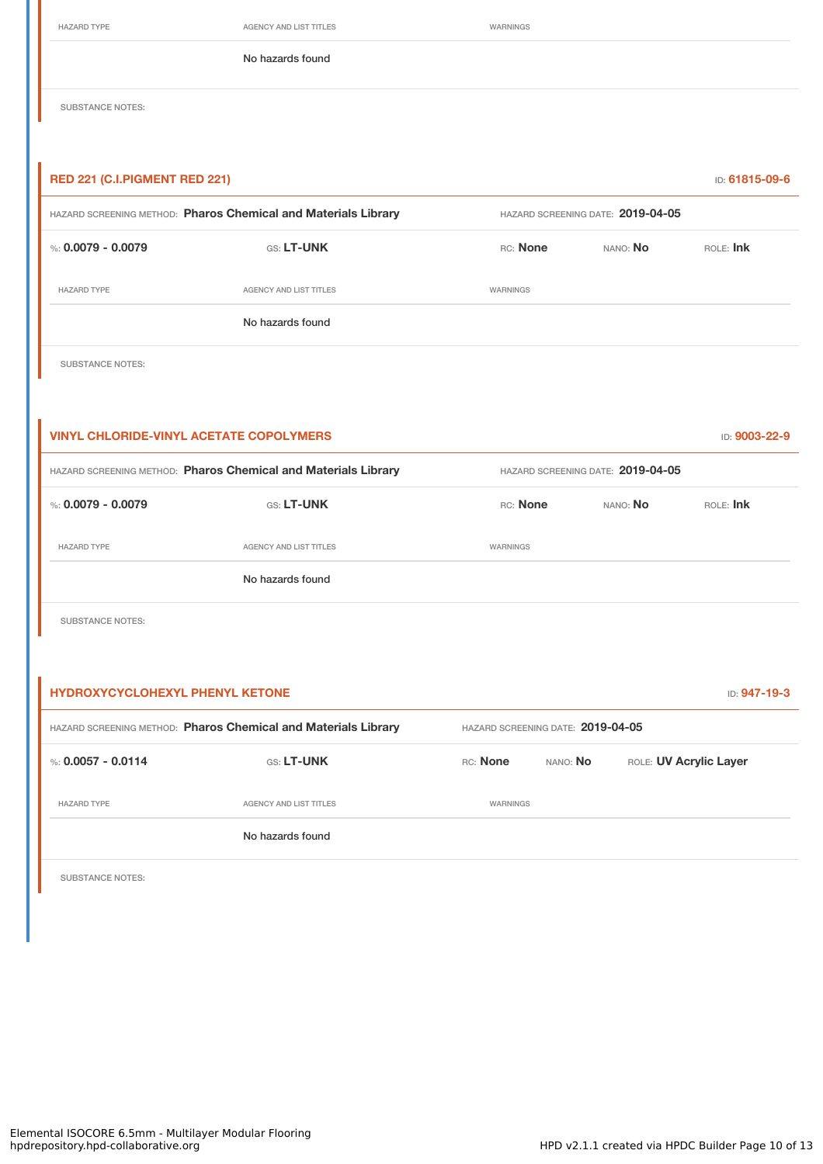HAZARD TYPE **AGENCY AND LIST TITLES** WARNINGS

No hazards found

SUBSTANCE NOTES:

# **RED 221 (C.I.PIGMENT RED 221)** ID: **61815-09-6** HAZARD SCREENING METHOD: **Pharos Chemical and Materials Library** HAZARD SCREENING DATE: **2019-04-05** %: **0.0079 - 0.0079** GS: **LT-UNK** RC: **None** NANO: **No** ROLE: **Ink** HAZARD TYPE **AGENCY AND LIST TITLES** WARNINGS No hazards found

SUBSTANCE NOTES:

| <b>VINYL CHLORIDE-VINYL ACETATE COPOLYMERS</b>                 |                               |          |                                   |          |  |
|----------------------------------------------------------------|-------------------------------|----------|-----------------------------------|----------|--|
| HAZARD SCREENING METHOD: Pharos Chemical and Materials Library |                               |          | HAZARD SCREENING DATE: 2019-04-05 |          |  |
| %: $0.0079 - 0.0079$                                           | <b>GS: LT-UNK</b>             | RC: None | NANO: No                          | ROE: Ink |  |
| <b>HAZARD TYPE</b>                                             | <b>AGENCY AND LIST TITLES</b> | WARNINGS |                                   |          |  |
|                                                                | No hazards found              |          |                                   |          |  |

SUBSTANCE NOTES:

| <b>HYDROXYCYCLOHEXYL PHENYL KETONE</b><br><b>ID: 947-19-3</b>  |                        |          |                                   |                        |  |  |
|----------------------------------------------------------------|------------------------|----------|-----------------------------------|------------------------|--|--|
| HAZARD SCREENING METHOD: Pharos Chemical and Materials Library |                        |          | HAZARD SCREENING DATE: 2019-04-05 |                        |  |  |
| %: $0.0057 - 0.0114$                                           | <b>GS: LT-UNK</b>      | RC: None | NANO: <b>No</b>                   | ROLE: UV Acrylic Layer |  |  |
| <b>HAZARD TYPE</b>                                             | AGENCY AND LIST TITLES | WARNINGS |                                   |                        |  |  |
|                                                                | No hazards found       |          |                                   |                        |  |  |
|                                                                |                        |          |                                   |                        |  |  |

SUBSTANCE NOTES: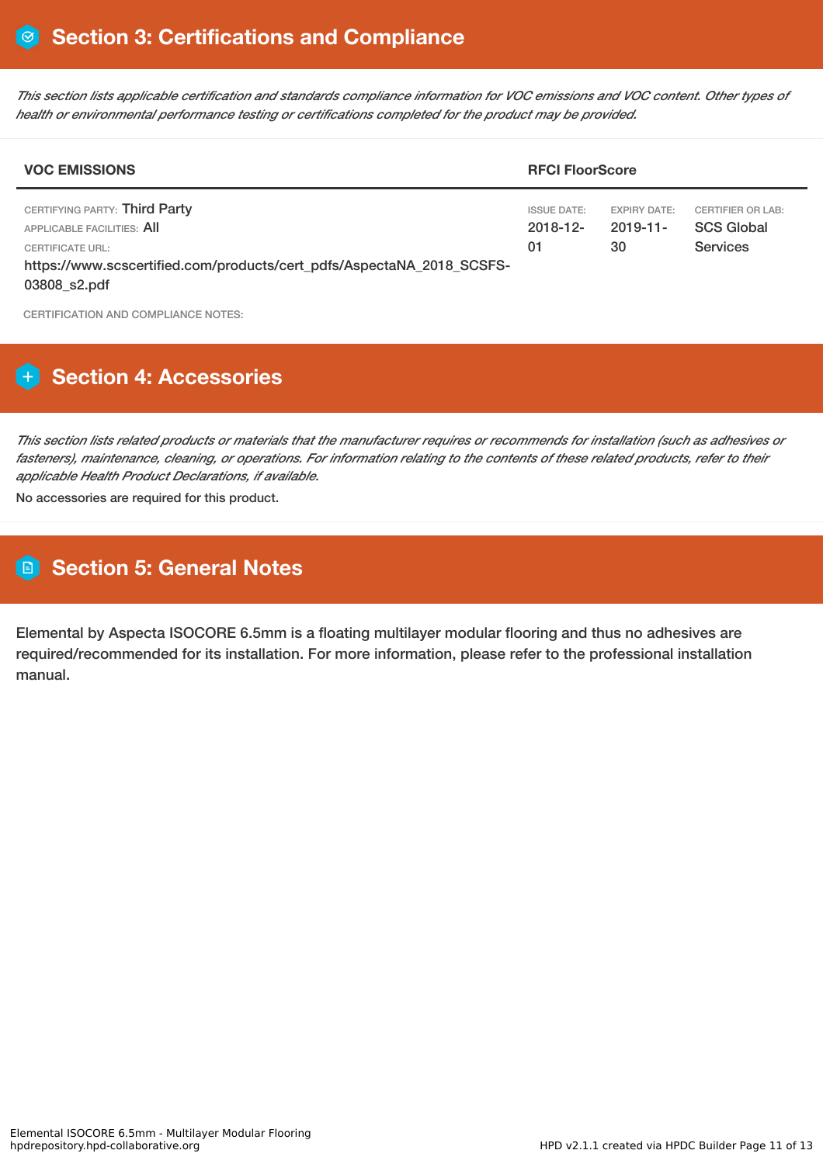This section lists applicable certification and standards compliance information for VOC emissions and VOC content. Other types of *health or environmental performance testing or certifications completed for the product may be provided.*

| <b>VOC EMISSIONS</b><br><b>RFCI FloorScore</b>                                                                                                                           |                                         |                                          |                                                           |
|--------------------------------------------------------------------------------------------------------------------------------------------------------------------------|-----------------------------------------|------------------------------------------|-----------------------------------------------------------|
| CERTIFYING PARTY: Third Party<br>APPLICABLE FACILITIES: AII<br>CERTIFICATE URL:<br>https://www.scscertified.com/products/cert_pdfs/AspectaNA_2018_SCSFS-<br>03808_s2.pdf | <b>ISSUE DATE:</b><br>$2018 - 12$<br>01 | <b>EXPIRY DATE:</b><br>$2019 - 11$<br>30 | CERTIFIER OR LAB:<br><b>SCS Global</b><br><b>Services</b> |

CERTIFICATION AND COMPLIANCE NOTES:

# **Section 4: Accessories**

This section lists related products or materials that the manufacturer requires or recommends for installation (such as adhesives or fasteners), maintenance, cleaning, or operations. For information relating to the contents of these related products, refer to their *applicable Health Product Declarations, if available.*

No accessories are required for this product.

# **Section 5: General Notes**

Elemental by Aspecta ISOCORE 6.5mm is a floating multilayer modular flooring and thus no adhesives are required/recommended for its installation. For more information, please refer to the professional installation manual.